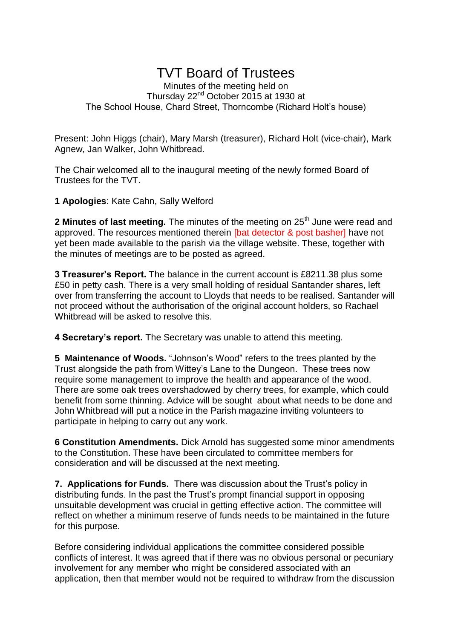## TVT Board of Trustees

Minutes of the meeting held on Thursday 22nd October 2015 at 1930 at The School House, Chard Street, Thorncombe (Richard Holt's house)

Present: John Higgs (chair), Mary Marsh (treasurer), Richard Holt (vice-chair), Mark Agnew, Jan Walker, John Whitbread.

The Chair welcomed all to the inaugural meeting of the newly formed Board of Trustees for the TVT.

**1 Apologies**: Kate Cahn, Sally Welford

**2 Minutes of last meeting.** The minutes of the meeting on 25<sup>th</sup> June were read and approved. The resources mentioned therein [bat detector & post basher] have not yet been made available to the parish via the village website. These, together with the minutes of meetings are to be posted as agreed.

**3 Treasurer's Report.** The balance in the current account is £8211.38 plus some £50 in petty cash. There is a very small holding of residual Santander shares, left over from transferring the account to Lloyds that needs to be realised. Santander will not proceed without the authorisation of the original account holders, so Rachael Whitbread will be asked to resolve this.

**4 Secretary's report.** The Secretary was unable to attend this meeting.

**5 Maintenance of Woods.** "Johnson's Wood" refers to the trees planted by the Trust alongside the path from Wittey's Lane to the Dungeon. These trees now require some management to improve the health and appearance of the wood. There are some oak trees overshadowed by cherry trees, for example, which could benefit from some thinning. Advice will be sought about what needs to be done and John Whitbread will put a notice in the Parish magazine inviting volunteers to participate in helping to carry out any work.

**6 Constitution Amendments.** Dick Arnold has suggested some minor amendments to the Constitution. These have been circulated to committee members for consideration and will be discussed at the next meeting.

**7. Applications for Funds.** There was discussion about the Trust's policy in distributing funds. In the past the Trust's prompt financial support in opposing unsuitable development was crucial in getting effective action. The committee will reflect on whether a minimum reserve of funds needs to be maintained in the future for this purpose.

Before considering individual applications the committee considered possible conflicts of interest. It was agreed that if there was no obvious personal or pecuniary involvement for any member who might be considered associated with an application, then that member would not be required to withdraw from the discussion